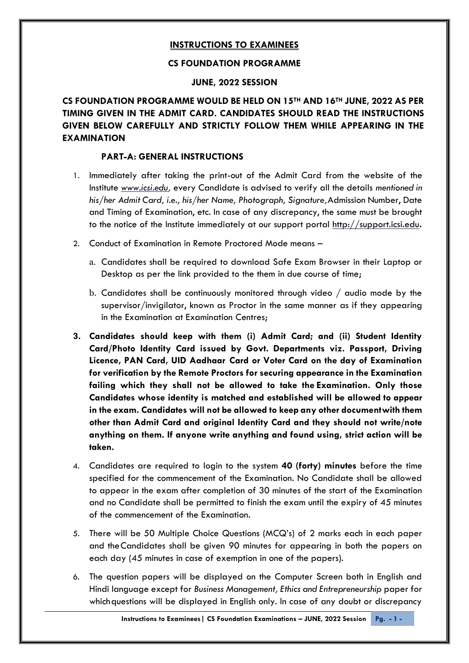## **INSTRUCTIONS TO EXAMINEES**

#### **CS FOUNDATION PROGRAMME**

#### **JUNE, 2022 SESSION**

**CS FOUNDATION PROGRAMME WOULD BE HELD ON 15TH AND 16TH JUNE, 2022 AS PER TIMING GIVEN IN THE ADMIT CARD. CANDIDATES SHOULD READ THE INSTRUCTIONS GIVEN BELOW CAREFULLY AND STRICTLY FOLLOW THEM WHILE APPEARING IN THE EXAMINATION**

#### **PART-A: GENERAL INSTRUCTIONS**

- 1. Immediately after taking the print-out of the Admit Card from the website of the Institute *[www.icsi.edu,](http://www.icsi.edu/)* every Candidate is advised to verify all the details *mentioned in his/her Admit Card, i.e., his/her Name, Photograph, Signature,*Admission Number, Date and Timing of Examination, etc. In case of any discrepancy, the same must be brought to the notice of the Institute immediately at our support portal [http://support.icsi.edu](http://support.icsi.edu/)**.**
- 2. Conduct of Examination in Remote Proctored Mode means
	- a. Candidates shall be required to download Safe Exam Browser in their Laptop or Desktop as per the link provided to the them in due course of time;
	- b. Candidates shall be continuously monitored through video / audio mode by the supervisor/invigilator, known as Proctor in the same manner as if they appearing in the Examination at Examination Centres;
- **3. Candidates should keep with them (i) Admit Card; and (ii) Student Identity Card/Photo Identity Card issued by Govt. Departments viz. Passport, Driving Licence, PAN Card, UID Aadhaar Card or Voter Card on the day of Examination for verification by the Remote Proctors for securing appearance in the Examination failing which they shall not be allowed to take the Examination. Only those Candidates whose identity is matched and established will be allowed to appear in the exam. Candidates will not be allowed to keep any other documentwith them other than Admit Card and original Identity Card and they should not write/note anything on them. If anyone write anything and found using, strict action will be taken.**
- 4. Candidates are required to login to the system **40 (forty) minutes** before the time specified for the commencement of the Examination. No Candidate shall be allowed to appear in the exam after completion of 30 minutes of the start of the Examination and no Candidate shall be permitted to finish the exam until the expiry of 45 minutes of the commencement of the Examination.
- 5. There will be 50 Multiple Choice Questions (MCQ's) of 2 marks each in each paper and theCandidates shall be given 90 minutes for appearing in both the papers on each day (45 minutes in case of exemption in one of the papers).
- 6. The question papers will be displayed on the Computer Screen both in English and Hindi language except for *Business Management, Ethics and Entrepreneurship* paper for which questions will be displayed in English only. In case of any doubt or discrepancy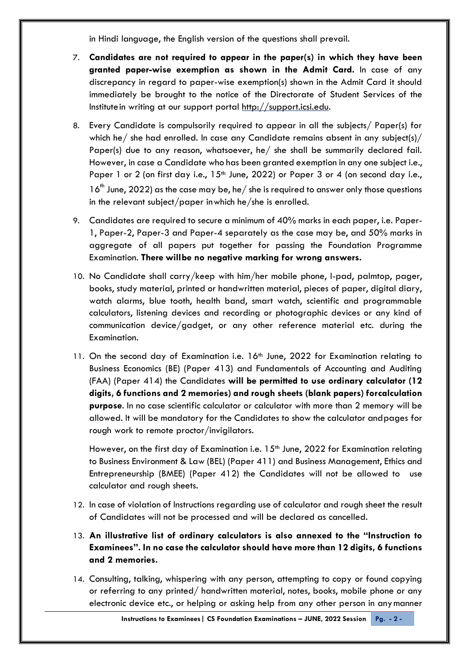in Hindi language, the English version of the questions shall prevail.

- 7. **Candidates are not required to appear in the paper(s) in which they have been granted paper-wise exemption as shown in the Admit Card.** In case of any discrepancy in regard to paper-wise exemption(s) shown in the Admit Card it should immediately be brought to the notice of the Directorate of Student Services of the Institutein writing at our support portal [http://support.icsi.edu.](http://support.icsi.edu/)
- 8. Every Candidate is compulsorily required to appear in all the subjects/ Paper(s) for which he/ she had enrolled. In case any Candidate remains absent in any subject(s)/ Paper(s) due to any reason, whatsoever, he/ she shall be summarily declared fail. However, in case a Candidate who has been granted exemption in any one subject i.e., Paper 1 or 2 (on first day i.e.,  $15<sup>th</sup>$  June, 2022) or Paper 3 or 4 (on second day i.e.,  $16<sup>th</sup>$  June, 2022) as the case may be, he/ she is required to answer only those questions in the relevant subject/paper inwhich he/she is enrolled.
- 9. Candidates are required to secure a minimum of 40% marks in each paper, i.e. Paper-1, Paper-2, Paper-3 and Paper-4 separately as the case may be, and 50% marks in aggregate of all papers put together for passing the Foundation Programme Examination. **There willbe no negative marking for wrong answers.**
- 10. No Candidate shall carry/keep with him/her mobile phone, I-pad, palmtop, pager, books, study material, printed or handwritten material, pieces of paper, digital diary, watch alarms, blue tooth, health band, smart watch, scientific and programmable calculators, listening devices and recording or photographic devices or any kind of communication device/gadget, or any other reference material etc. during the Examination.
- 11. On the second day of Examination i.e. 16<sup>th</sup> June, 2022 for Examination relating to Business Economics (BE) (Paper 413) and Fundamentals of Accounting and Auditing (FAA) (Paper 414) the Candidates **will be permitted to use ordinary calculator (12 digits, 6 functions and 2 memories) and rough sheets (blank papers) forcalculation purpose**. In no case scientific calculator or calculator with more than 2 memory will be allowed. It will be mandatory for the Candidates to show the calculator andpages for rough work to remote proctor/invigilators.

However, on the first day of Examination i.e.  $15<sup>th</sup>$  June, 2022 for Examination relating to Business Environment & Law (BEL) (Paper 411) and Business Management, Ethics and Entrepreneurship (BMEE) (Paper 412) the Candidates will not be allowed to use calculator and rough sheets.

- 12. In case of violation of Instructions regarding use of calculator and rough sheet the result of Candidates will not be processed and will be declared as cancelled.
- 13. **An illustrative list of ordinary calculators is also annexed to the "Instruction to Examinees". In no case the calculator should have more than 12 digits, 6 functions and 2 memories.**
- 14. Consulting, talking, whispering with any person, attempting to copy or found copying or referring to any printed/ handwritten material, notes, books, mobile phone or any electronic device etc., or helping or asking help from any other person in anymanner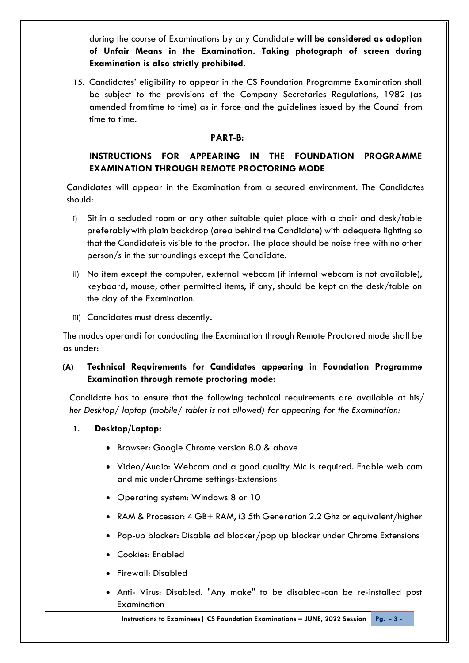during the course of Examinations by any Candidate **will be considered as adoption of Unfair Means in the Examination. Taking photograph of screen during Examination is also strictly prohibited.**

15. Candidates' eligibility to appear in the CS Foundation Programme Examination shall be subject to the provisions of the Company Secretaries Regulations, 1982 (as amended fromtime to time) as in force and the guidelines issued by the Council from time to time.

#### **PART-B:**

# **INSTRUCTIONS FOR APPEARING IN THE FOUNDATION PROGRAMME EXAMINATION THROUGH REMOTE PROCTORING MODE**

Candidates will appear in the Examination from a secured environment. The Candidates should:

- i) Sit in a secluded room or any other suitable quiet place with a chair and desk/table preferablywith plain backdrop (area behind the Candidate) with adequate lighting so that the Candidateis visible to the proctor. The place should be noise free with no other person/s in the surroundings except the Candidate.
- ii) No item except the computer, external webcam (if internal webcam is not available), keyboard, mouse, other permitted items, if any, should be kept on the desk/table on the day of the Examination.
- iii) Candidates must dress decently.

The modus operandi for conducting the Examination through Remote Proctored mode shall be as under:

# **(A) Technical Requirements for Candidates appearing in Foundation Programme Examination through remote proctoring mode:**

Candidate has to ensure that the following technical requirements are available at his/ *her Desktop/ laptop (mobile/ tablet is not allowed) for appearing for the Examination:*

- **1. Desktop/Laptop:**
	- Browser: Google Chrome version 8.0 & above
	- Video/Audio: Webcam and a good quality Mic is required. Enable web cam and mic underChrome settings-Extensions
	- Operating system: Windows 8 or 10
	- RAM & Processor: 4 GB+ RAM, i3 5th Generation 2.2 Ghz or equivalent/higher
	- Pop-up blocker: Disable ad blocker/pop up blocker under Chrome Extensions
	- Cookies: Enabled
	- Firewall: Disabled
	- Anti- Virus: Disabled. "Any make" to be disabled-can be re-installed post Examination

**Instructions to Examinees | CS Foundation Examinations - JUNE, 2022 Session Pg. - 3 -**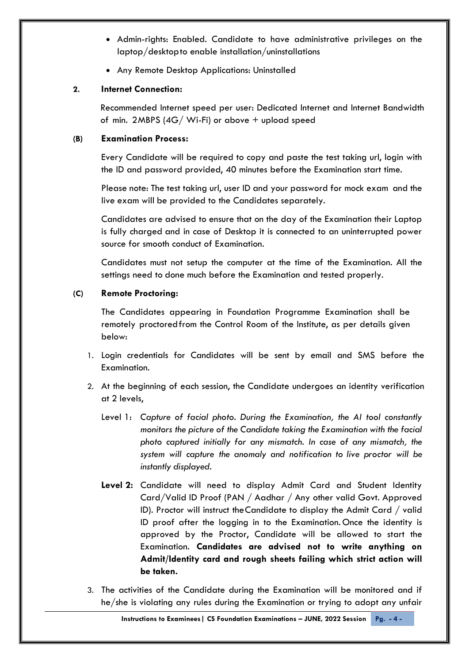- Admin-rights: Enabled. Candidate to have administrative privileges on the laptop/desktopto enable installation/uninstallations
- Any Remote Desktop Applications: Uninstalled

### **2. Internet Connection:**

Recommended Internet speed per user: Dedicated Internet and Internet Bandwidth of min. 2MBPS  $(4G/\text{Wi-Fi})$  or above  $+$  upload speed

#### **(B) Examination Process:**

Every Candidate will be required to copy and paste the test taking url, login with the ID and password provided, 40 minutes before the Examination start time.

Please note: The test taking url, user ID and your password for mock exam and the live exam will be provided to the Candidates separately.

Candidates are advised to ensure that on the day of the Examination their Laptop is fully charged and in case of Desktop it is connected to an uninterrupted power source for smooth conduct of Examination.

Candidates must not setup the computer at the time of the Examination. All the settings need to done much before the Examination and tested properly.

## **(C) Remote Proctoring:**

The Candidates appearing in Foundation Programme Examination shall be remotely proctoredfrom the Control Room of the Institute, as per details given below:

- 1. Login credentials for Candidates will be sent by email and SMS before the Examination.
- 2. At the beginning of each session, the Candidate undergoes an identity verification at 2 levels,
	- Level 1: *Capture of facial photo. During the Examination, the AI tool constantly monitors the picture of the Candidate taking the Examination with the facial photo captured initially for any mismatch. In case of any mismatch, the system will capture the anomaly and notification to live proctor will be instantly displayed.*
	- **Level 2:** Candidate will need to display Admit Card and Student Identity Card/Valid ID Proof (PAN / Aadhar / Any other valid Govt. Approved ID). Proctor will instruct theCandidate to display the Admit Card / valid ID proof after the logging in to the Examination. Once the identity is approved by the Proctor, Candidate will be allowed to start the Examination. **Candidates are advised not to write anything on Admit/Identity card and rough sheets failing which strict action will be taken.**
- 3. The activities of the Candidate during the Examination will be monitored and if he/she is violating any rules during the Examination or trying to adopt any unfair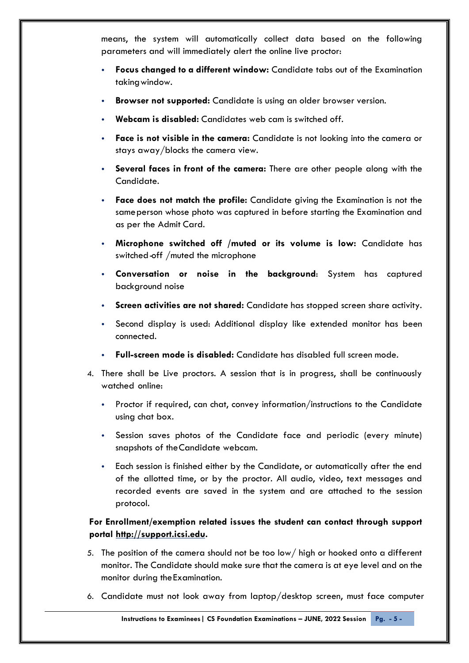means, the system will automatically collect data based on the following parameters and will immediately alert the online live proctor:

- **Focus changed to a different window:** Candidate tabs out of the Examination taking window.
- **Browser not supported:** Candidate is using an older browser version.
- **Webcam is disabled:** Candidates web cam is switched off.
- **Face is not visible in the camera:** Candidate is not looking into the camera or stays away/blocks the camera view.
- **Several faces in front of the camera:** There are other people along with the Candidate.
- **Face does not match the profile:** Candidate giving the Examination is not the sameperson whose photo was captured in before starting the Examination and as per the Admit Card.
- **Microphone switched off /muted or its volume is low:** Candidate has switched-off /muted the microphone
- **Conversation or noise in the background**: System has captured background noise
- **Screen activities are not shared:** Candidate has stopped screen share activity.
- Second display is used: Additional display like extended monitor has been connected.
- **Full-screen mode is disabled:** Candidate has disabled full screen mode.
- 4. There shall be Live proctors. A session that is in progress, shall be continuously watched online:
	- Proctor if required, can chat, convey information/instructions to the Candidate using chat box.
	- Session saves photos of the Candidate face and periodic (every minute) snapshots of theCandidate webcam.
	- Each session is finished either by the Candidate, or automatically after the end of the allotted time, or by the proctor. All audio, video, text messages and recorded events are saved in the system and are attached to the session protocol.

## **For Enrollment/exemption related issues the student can contact through support portal [http://support.icsi.edu.](http://support.icsi.edu/)**

- 5. The position of the camera should not be too low/ high or hooked onto a different monitor. The Candidate should make sure that the camera is at eye level and on the monitor during theExamination.
- 6. Candidate must not look away from laptop/desktop screen, must face computer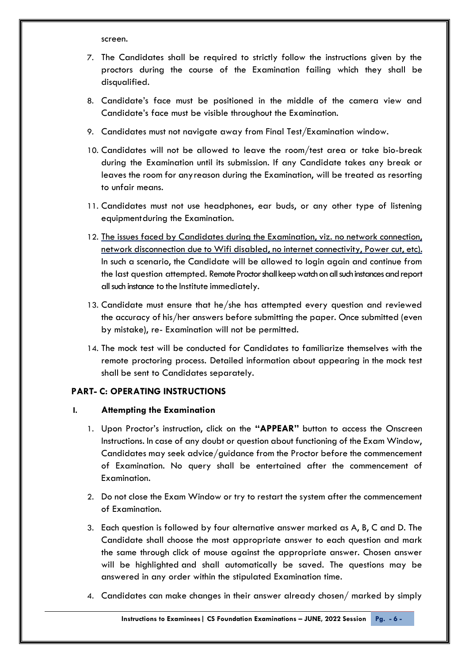screen.

- 7. The Candidates shall be required to strictly follow the instructions given by the proctors during the course of the Examination failing which they shall be disqualified.
- 8. Candidate's face must be positioned in the middle of the camera view and Candidate's face must be visible throughout the Examination.
- 9. Candidates must not navigate away from Final Test/Examination window.
- 10. Candidates will not be allowed to leave the room/test area or take bio-break during the Examination until its submission. If any Candidate takes any break or leaves the room for anyreason during the Examination, will be treated as resorting to unfair means.
- 11. Candidates must not use headphones, ear buds, or any other type of listening equipmentduring the Examination.
- 12. The issues faced by Candidates during the Examination, viz. no network connection, network disconnection due to Wifi disabled, no internet connectivity, Power cut, etc). In such a scenario, the Candidate will be allowed to login again and continue from the last question attempted. Remote Proctor shall keep watch on all such instances and report all such instance to the Institute immediately.
- 13. Candidate must ensure that he/she has attempted every question and reviewed the accuracy of his/her answers before submitting the paper. Once submitted (even by mistake), re- Examination will not be permitted.
- 14. The mock test will be conducted for Candidates to familiarize themselves with the remote proctoring process. Detailed information about appearing in the mock test shall be sent to Candidates separately.

## **PART- C: OPERATING INSTRUCTIONS**

#### **I. Attempting the Examination**

- 1. Upon Proctor's instruction, click on the **"APPEAR"** button to access the Onscreen Instructions. In case of any doubt or question about functioning of the Exam Window, Candidates may seek advice/guidance from the Proctor before the commencement of Examination. No query shall be entertained after the commencement of Examination.
- 2. Do not close the Exam Window or try to restart the system after the commencement of Examination.
- 3. Each question is followed by four alternative answer marked as A, B, C and D. The Candidate shall choose the most appropriate answer to each question and mark the same through click of mouse against the appropriate answer. Chosen answer will be highlighted and shall automatically be saved. The questions may be answered in any order within the stipulated Examination time.
- 4. Candidates can make changes in their answer already chosen/ marked by simply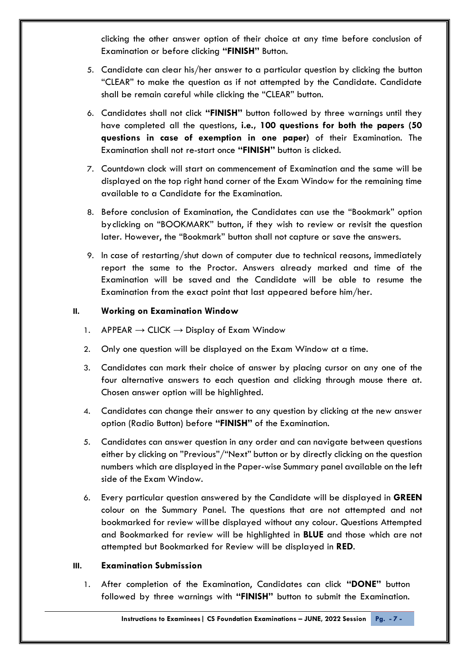clicking the other answer option of their choice at any time before conclusion of Examination or before clicking **"FINISH"** Button.

- 5. Candidate can clear his/her answer to a particular question by clicking the button "CLEAR" to make the question as if not attempted by the Candidate. Candidate shall be remain careful while clicking the "CLEAR" button.
- 6. Candidates shall not click **"FINISH"** button followed by three warnings until they have completed all the questions, **i.e., 100 questions for both the papers (50 questions in case of exemption in one paper)** of their Examination. The Examination shall not re-start once **"FINISH"** button is clicked.
- 7. Countdown clock will start on commencement of Examination and the same will be displayed on the top right hand corner of the Exam Window for the remaining time available to a Candidate for the Examination.
- 8. Before conclusion of Examination, the Candidates can use the "Bookmark" option byclicking on "BOOKMARK" button, if they wish to review or revisit the question later. However, the "Bookmark" button shall not capture or save the answers.
- 9. In case of restarting/shut down of computer due to technical reasons, immediately report the same to the Proctor. Answers already marked and time of the Examination will be saved and the Candidate will be able to resume the Examination from the exact point that last appeared before him/her.

### **II. Working on Examination Window**

- 1. APPEAR  $\rightarrow$  CLICK  $\rightarrow$  Display of Exam Window
- 2. Only one question will be displayed on the Exam Window at a time.
- 3. Candidates can mark their choice of answer by placing cursor on any one of the four alternative answers to each question and clicking through mouse there at. Chosen answer option will be highlighted.
- 4. Candidates can change their answer to any question by clicking at the new answer option (Radio Button) before **"FINISH"** of the Examination.
- 5. Candidates can answer question in any order and can navigate between questions either by clicking on "Previous"/"Next" button or by directly clicking on the question numbers which are displayed in the Paper-wise Summary panel available on the left side of the Exam Window.
- 6. Every particular question answered by the Candidate will be displayed in **GREEN**  colour on the Summary Panel. The questions that are not attempted and not bookmarked for review willbe displayed without any colour. Questions Attempted and Bookmarked for review will be highlighted in **BLUE** and those which are not attempted but Bookmarked for Review will be displayed in **RED**.

#### **III. Examination Submission**

1. After completion of the Examination, Candidates can click **"DONE"** button followed by three warnings with **"FINISH"** button to submit the Examination.